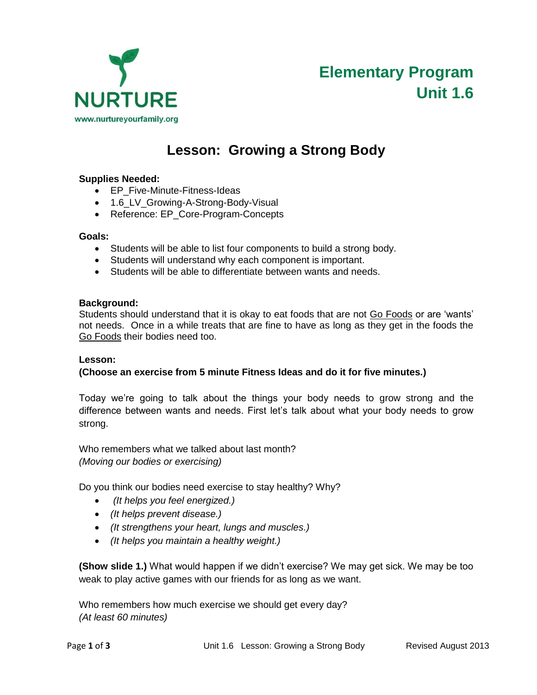

# **Elementary Program Unit 1.6**

## **Lesson: Growing a Strong Body**

### **Supplies Needed:**

- EP\_Five-Minute-Fitness-Ideas
- 1.6\_LV\_Growing-A-Strong-Body-Visual
- Reference: EP\_Core-Program-Concepts

#### **Goals:**

- Students will be able to list four components to build a strong body.
- Students will understand why each component is important.
- Students will be able to differentiate between wants and needs.

#### **Background:**

Students should understand that it is okay to eat foods that are not Go Foods or are 'wants' not needs. Once in a while treats that are fine to have as long as they get in the foods the Go Foods their bodies need too.

#### **Lesson:**

#### **(Choose an exercise from 5 minute Fitness Ideas and do it for five minutes.)**

Today we're going to talk about the things your body needs to grow strong and the difference between wants and needs. First let's talk about what your body needs to grow strong.

Who remembers what we talked about last month? *(Moving our bodies or exercising)*

Do you think our bodies need exercise to stay healthy? Why?

- *(It helps you feel energized.)*
- *(It helps prevent disease.)*
- *(It strengthens your heart, lungs and muscles.)*
- *(It helps you maintain a healthy weight.)*

**(Show slide 1.)** What would happen if we didn't exercise? We may get sick. We may be too weak to play active games with our friends for as long as we want.

Who remembers how much exercise we should get every day? *(At least 60 minutes)*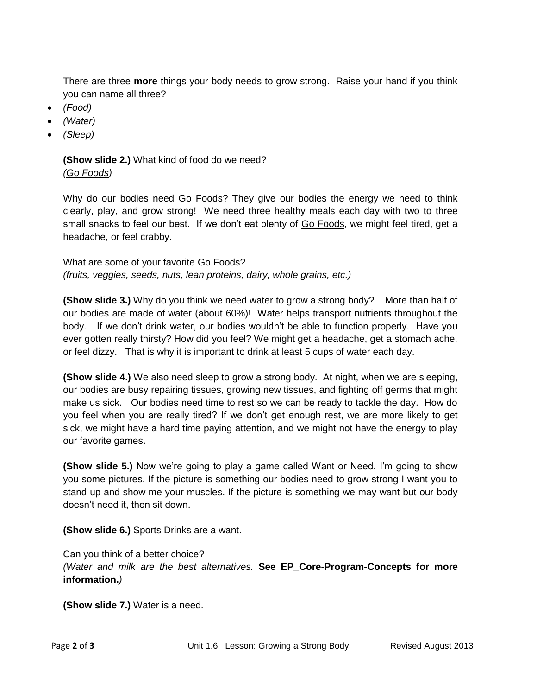There are three **more** things your body needs to grow strong. Raise your hand if you think you can name all three?

- *(Food)*
- *(Water)*
- *(Sleep)*

**(Show slide 2.)** What kind of food do we need? *(Go Foods)* 

Why do our bodies need Go Foods? They give our bodies the energy we need to think clearly, play, and grow strong! We need three healthy meals each day with two to three small snacks to feel our best. If we don't eat plenty of Go Foods, we might feel tired, get a headache, or feel crabby.

What are some of your favorite Go Foods? *(fruits, veggies, seeds, nuts, lean proteins, dairy, whole grains, etc.)*

**(Show slide 3.)** Why do you think we need water to grow a strong body? More than half of our bodies are made of water (about 60%)! Water helps transport nutrients throughout the body. If we don't drink water, our bodies wouldn't be able to function properly. Have you ever gotten really thirsty? How did you feel? We might get a headache, get a stomach ache, or feel dizzy. That is why it is important to drink at least 5 cups of water each day.

**(Show slide 4.)** We also need sleep to grow a strong body. At night, when we are sleeping, our bodies are busy repairing tissues, growing new tissues, and fighting off germs that might make us sick. Our bodies need time to rest so we can be ready to tackle the day. How do you feel when you are really tired? If we don't get enough rest, we are more likely to get sick, we might have a hard time paying attention, and we might not have the energy to play our favorite games.

**(Show slide 5.)** Now we're going to play a game called Want or Need. I'm going to show you some pictures. If the picture is something our bodies need to grow strong I want you to stand up and show me your muscles. If the picture is something we may want but our body doesn't need it, then sit down.

**(Show slide 6.)** Sports Drinks are a want.

Can you think of a better choice? *(Water and milk are the best alternatives.* **See EP\_Core-Program-Concepts for more information.***)*

**(Show slide 7.)** Water is a need.